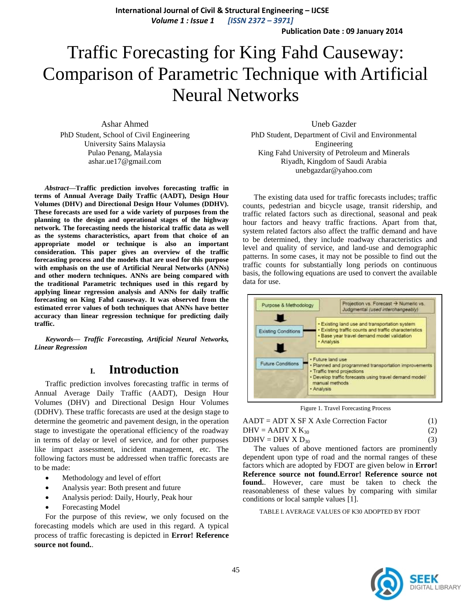**International Journal of Civil & Structural Engineering – IJCSE** *Volume 1 : Issue 1 [ISSN 2372 – 3971]*

**Publication Date : 09 January 2014**

# Traffic Forecasting for King Fahd Causeway: Comparison of Parametric Technique with Artificial Neural Networks

Ashar Ahmed PhD Student, School of Civil Engineering University Sains Malaysia Pulao Penang, Malaysia ashar.ue17@gmail.com

*Abstract***—Traffic prediction involves forecasting traffic in terms of Annual Average Daily Traffic (AADT), Design Hour Volumes (DHV) and Directional Design Hour Volumes (DDHV). These forecasts are used for a wide variety of purposes from the planning to the design and operational stages of the highway network. The forecasting needs the historical traffic data as well as the systems characteristics, apart from that choice of an appropriate model or technique is also an important consideration. This paper gives an overview of the traffic forecasting process and the models that are used for this purpose with emphasis on the use of Artificial Neural Networks (ANNs) and other modern techniques. ANNs are being compared with the traditional Parametric techniques used in this regard by applying linear regression analysis and ANNs for daily traffic forecasting on King Fahd causeway. It was observed from the estimated error values of both techniques that ANNs have better accuracy than linear regression technique for predicting daily traffic.**

*Keywords— Traffic Forecasting, Artificial Neural Networks, Linear Regression*

## **I. Introduction**

Traffic prediction involves forecasting traffic in terms of Annual Average Daily Traffic (AADT), Design Hour Volumes (DHV) and Directional Design Hour Volumes (DDHV). These traffic forecasts are used at the design stage to determine the geometric and pavement design, in the operation stage to investigate the operational efficiency of the roadway in terms of delay or level of service, and for other purposes like impact assessment, incident management, etc. The following factors must be addressed when traffic forecasts are to be made:

- Methodology and level of effort
- Analysis year: Both present and future
- Analysis period: Daily, Hourly, Peak hour
- Forecasting Model

For the purpose of this review, we only focused on the forecasting models which are used in this regard. A typical process of traffic forecasting is depicted in **Error! Reference source not found.**.

Uneb Gazder PhD Student, Department of Civil and Environmental Engineering King Fahd University of Petroleum and Minerals Riyadh, Kingdom of Saudi Arabia unebgazdar@yahoo.com

The existing data used for traffic forecasts includes; traffic counts, pedestrian and bicycle usage, transit ridership, and traffic related factors such as directional, seasonal and peak hour factors and heavy traffic fractions. Apart from that, system related factors also affect the traffic demand and have to be determined, they include roadway characteristics and level and quality of service, and land-use and demographic patterns. In some cases, it may not be possible to find out the traffic counts for substantially long periods on continuous basis, the following equations are used to convert the available data for use.



Figure 1. Travel Forecasting Process

| $AADT = ADT X SF X Axle Correction Factor$ | (1) |
|--------------------------------------------|-----|
| $DHV = AADT X K_{30}$                      | (2) |
| $DDHV = DHV X D_{30}$                      | (3) |

The values of above mentioned factors are prominently dependent upon type of road and the normal ranges of these factors which are adopted by FDOT are given below in **Error! Reference source not found.Error! Reference source not found.**. However, care must be taken to check the reasonableness of these values by comparing with similar conditions or local sample values [1].

TABLE I. AVERAGE VALUES OF K30 ADOPTED BY FDOT

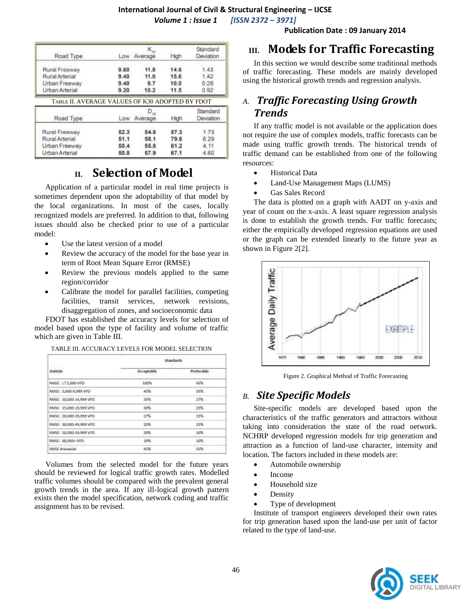# **International Journal of Civil & Structural Engineering – IJCSE**

*Volume 1 : Issue 1 [ISSN 2372 – 3971]*

| Road Type                                       |      | К.,<br>Low Average | High | Standard<br>Deviation |
|-------------------------------------------------|------|--------------------|------|-----------------------|
|                                                 |      |                    |      |                       |
| Rural Freeway                                   | 9.60 | 11.8               | 14.6 | 1.43                  |
| Rural Arterial                                  | 9.40 | 11.0               | 15.6 | 1.42                  |
| Urban Freeway                                   | 9.40 | 9.7                | 10.0 | 0.28                  |
| Urban Arterial                                  | 9.20 | 10.2               | 11.5 | 0.92                  |
| TABLE II. AVERAGE VALUES OF K30 ADOPTED BY FDOT |      |                    |      |                       |
|                                                 |      | $D_{30}$           |      | Standard              |
| Road Type                                       | Low  | Average            | High | Deviation             |
| Rural Freeway                                   | 52.3 | 54.8               | 57.3 | 1.73                  |
| Rural Arterial                                  | 51.1 | 58.1               | 79.6 | 6.29                  |
| Urban Freeway                                   | 50.4 | 55.8               | 61.2 | 4.11                  |

# **II. Selection of Model**

Application of a particular model in real time projects is sometimes dependent upon the adoptability of that model by the local organizations. In most of the cases, locally recognized models are preferred. In addition to that, following issues should also be checked prior to use of a particular model:

- Use the latest version of a model
- Review the accuracy of the model for the base year in term of Root Mean Square Error (RMSE)
- Review the previous models applied to the same region/corridor
- Calibrate the model for parallel facilities, competing facilities, transit services, network revisions, disaggregation of zones, and socioeconomic data

FDOT has established the accuracy levels for selection of model based upon the type of facility and volume of traffic which are given in Table III.

| <b>Standards</b><br>DVS - CONTR |  |  |
|---------------------------------|--|--|
| Preferable                      |  |  |
| 45%                             |  |  |
| 35%                             |  |  |
| 27%                             |  |  |
| 25%                             |  |  |
| 15%                             |  |  |
| 15%                             |  |  |
| 10%                             |  |  |
| 10%                             |  |  |
| 35%                             |  |  |
|                                 |  |  |

TABLE III. ACCURACY LEVELS FOR MODEL SELECTION

Volumes from the selected model for the future years should be reviewed for logical traffic growth rates. Modelled traffic volumes should be compared with the prevalent general growth trends in the area. If any ill-logical growth pattern exists then the model specification, network coding and traffic assignment has to be revised.

#### **Publication Date : 09 January 2014**

### **III. Models for Traffic Forecasting**

In this section we would describe some traditional methods of traffic forecasting. These models are mainly developed using the historical growth trends and regression analysis.

# *A. Traffic Forecasting Using Growth Trends*

If any traffic model is not available or the application does not require the use of complex models, traffic forecasts can be made using traffic growth trends. The historical trends of traffic demand can be established from one of the following resources:

- Historical Data
- Land-Use Management Maps (LUMS)
- Gas Sales Record

The data is plotted on a graph with AADT on y-axis and year of count on the x-axis. A least square regression analysis is done to establish the growth trends. For traffic forecasts; either the empirically developed regression equations are used or the graph can be extended linearly to the future year as shown in Figure 2[2].



Figure 2. Graphical Method of Traffic Forecasting

## *B. Site Specific Models*

Site-specific models are developed based upon the characteristics of the traffic generators and attractors without taking into consideration the state of the road network. NCHRP developed regression models for trip generation and attraction as a function of land-use character, intensity and location. The factors included in these models are:

- Automobile ownership
- Income
- Household size
- Density
- Type of development

Institute of transport engineers developed their own rates for trip generation based upon the land-use per unit of factor related to the type of land-use.

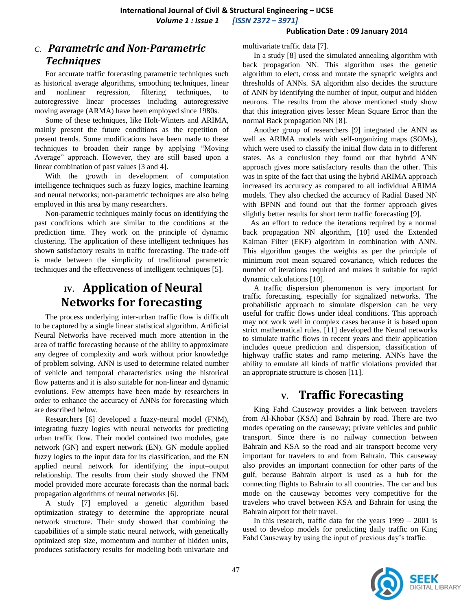#### **Publication Date : 09 January 2014**

# *C. Parametric and Non-Parametric Techniques*

For accurate traffic forecasting parametric techniques such as historical average algorithms, smoothing techniques, linear and nonlinear regression, filtering techniques, to autoregressive linear processes including autoregressive moving average (ARMA) have been employed since 1980s.

Some of these techniques, like Holt-Winters and ARIMA, mainly present the future conditions as the repetition of present trends. Some modifications have been made to these techniques to broaden their range by applying "Moving Average" approach. However, they are still based upon a linear combination of past values [3 and 4].

With the growth in development of computation intelligence techniques such as fuzzy logics, machine learning and neural networks; non-parametric techniques are also being employed in this area by many researchers.

Non-parametric techniques mainly focus on identifying the past conditions which are similar to the conditions at the prediction time. They work on the principle of dynamic clustering. The application of these intelligent techniques has shown satisfactory results in traffic forecasting. The trade-off is made between the simplicity of traditional parametric techniques and the effectiveness of intelligent techniques [5].

# **IV. Application of Neural Networks for forecasting**

The process underlying inter-urban traffic flow is difficult to be captured by a single linear statistical algorithm. Artificial Neural Networks have received much more attention in the area of traffic forecasting because of the ability to approximate any degree of complexity and work without prior knowledge of problem solving. ANN is used to determine related number of vehicle and temporal characteristics using the historical flow patterns and it is also suitable for non-linear and dynamic evolutions. Few attempts have been made by researchers in order to enhance the accuracy of ANNs for forecasting which are described below.

Researchers [6] developed a fuzzy-neural model (FNM), integrating fuzzy logics with neural networks for predicting urban traffic flow. Their model contained two modules, gate network (GN) and expert network (EN). GN module applied fuzzy logics to the input data for its classification, and the EN applied neural network for identifying the input–output relationship. The results from their study showed the FNM model provided more accurate forecasts than the normal back propagation algorithms of neural networks [6].

A study [7] employed a genetic algorithm based optimization strategy to determine the appropriate neural network structure. Their study showed that combining the capabilities of a simple static neural network, with genetically optimized step size, momentum and number of hidden units, produces satisfactory results for modeling both univariate and multivariate traffic data [7].

In a study [8] used the simulated annealing algorithm with back propagation NN. This algorithm uses the genetic algorithm to elect, cross and mutate the synaptic weights and thresholds of ANNs. SA algorithm also decides the structure of ANN by identifying the number of input, output and hidden neurons. The results from the above mentioned study show that this integration gives lesser Mean Square Error than the normal Back propagation NN [8].

Another group of researchers [9] integrated the ANN as well as ARIMA models with self-organizing maps (SOMs), which were used to classify the initial flow data in to different states. As a conclusion they found out that hybrid ANN approach gives more satisfactory results than the other. This was in spite of the fact that using the hybrid ARIMA approach increased its accuracy as compared to all individual ARIMA models. They also checked the accuracy of Radial Based NN with BPNN and found out that the former approach gives slightly better results for short term traffic forecasting [9].

As an effort to reduce the iterations required by a normal back propagation NN algorithm, [10] used the Extended Kalman Filter (EKF) algorithm in combination with ANN. This algorithm gauges the weights as per the principle of minimum root mean squared covariance, which reduces the number of iterations required and makes it suitable for rapid dynamic calculations [10].

A traffic dispersion phenomenon is very important for traffic forecasting, especially for signalized networks. The probabilistic approach to simulate dispersion can be very useful for traffic flows under ideal conditions. This approach may not work well in complex cases because it is based upon strict mathematical rules. [11] developed the Neural networks to simulate traffic flows in recent years and their application includes queue prediction and dispersion, classification of highway traffic states and ramp metering. ANNs have the ability to emulate all kinds of traffic violations provided that an appropriate structure is chosen [11].

# **V. Traffic Forecasting**

King Fahd Causeway provides a link between travelers from Al-Khobar (KSA) and Bahrain by road. There are two modes operating on the causeway; private vehicles and public transport. Since there is no railway connection between Bahrain and KSA so the road and air transport become very important for travelers to and from Bahrain. This causeway also provides an important connection for other parts of the gulf, because Bahrain airport is used as a hub for the connecting flights to Bahrain to all countries. The car and bus mode on the causeway becomes very competitive for the travelers who travel between KSA and Bahrain for using the Bahrain airport for their travel.

In this research, traffic data for the years  $1999 - 2001$  is used to develop models for predicting daily traffic on King Fahd Causeway by using the input of previous day's traffic.

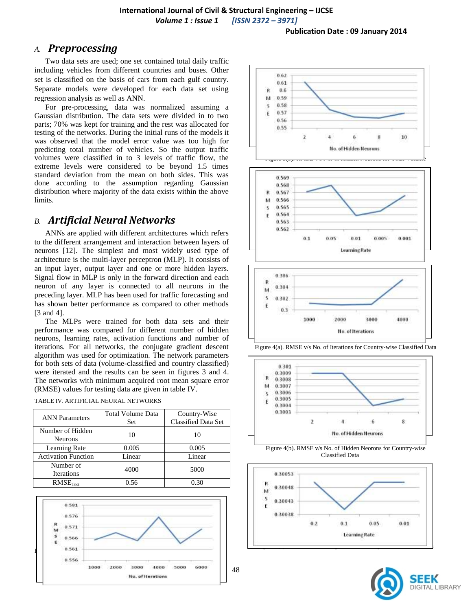### *A. Preprocessing*

Two data sets are used; one set contained total daily traffic including vehicles from different countries and buses. Other set is classified on the basis of cars from each gulf country. Separate models were developed for each data set using regression analysis as well as ANN.

For pre-processing, data was normalized assuming a Gaussian distribution. The data sets were divided in to two parts; 70% was kept for training and the rest was allocated for testing of the networks. During the initial runs of the models it was observed that the model error value was too high for predicting total number of vehicles. So the output traffic volumes were classified in to 3 levels of traffic flow, the extreme levels were considered to be beyond 1.5 times standard deviation from the mean on both sides. This was done according to the assumption regarding Gaussian distribution where majority of the data exists within the above limits.

### *B. Artificial Neural Networks*

ANNs are applied with different architectures which refers to the different arrangement and interaction between layers of neurons [12]. The simplest and most widely used type of architecture is the multi-layer perceptron (MLP). It consists of an input layer, output layer and one or more hidden layers. Signal flow in MLP is only in the forward direction and each neuron of any layer is connected to all neurons in the preceding layer. MLP has been used for traffic forecasting and has shown better performance as compared to other methods [3 and 4].

The MLPs were trained for both data sets and their performance was compared for different number of hidden neurons, learning rates, activation functions and number of iterations. For all networks, the conjugate gradient descent algorithm was used for optimization. The network parameters for both sets of data (volume-classified and country classified) were iterated and the results can be seen in figures 3 and 4. The networks with minimum acquired root mean square error (RMSE) values for testing data are given in table IV.

|  | TABLE IV. ARTIFICIAL NEURAL NETWORKS |
|--|--------------------------------------|
|  |                                      |

| <b>ANN Parameters</b>              | <b>Total Volume Data</b><br>Set | Country-Wise<br>Classified Data Set |
|------------------------------------|---------------------------------|-------------------------------------|
| Number of Hidden<br><b>Neurons</b> | 10                              | 10                                  |
| <b>Learning Rate</b>               | 0.005                           | 0.005                               |
| <b>Activation Function</b>         | Linear                          | Linear                              |
| Number of<br>Iterations            | 4000                            | 5000                                |
| RMSE <sub>Test</sub>               | 0.56                            | 0.30                                |









Figure 4(b). RMSE v/s No. of Hidden Neorons for Country-wise Classified Data